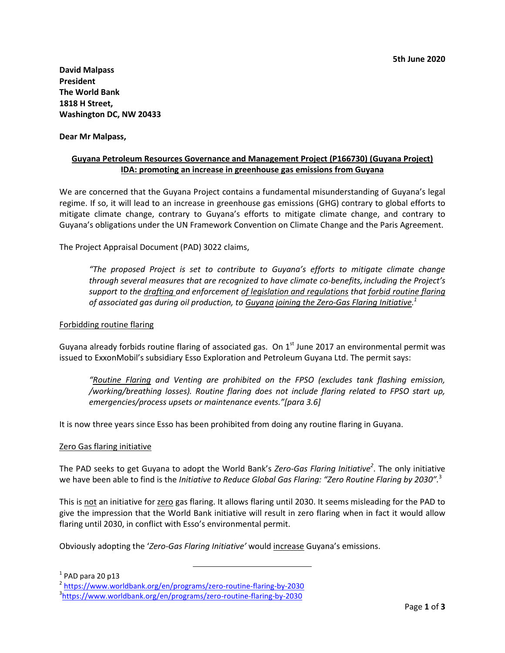**David Malpass President The World Bank 1818 H Street, Washington DC, NW 20433**

**Dear Mr Malpass,**

# **Guyana Petroleum Resources Governance and Management Project (P166730) (Guyana Project) IDA: promoting an increase in greenhouse gas emissions from Guyana**

We are concerned that the Guyana Project contains a fundamental misunderstanding of Guyana's legal regime. If so, it will lead to an increase in greenhouse gas emissions (GHG) contrary to global efforts to mitigate climate change, contrary to Guyana's efforts to mitigate climate change, and contrary to Guyana's obligations under the UN Framework Convention on Climate Change and the Paris Agreement.

The Project Appraisal Document (PAD) 3022 claims,

*"The proposed Project is set to contribute to Guyana's efforts to mitigate climate change through several measures that are recognized to have climate co-benefits, including the Project's support to the drafting and enforcement of legislation and regulations that forbid routine flaring of associated gas during oil production, to Guyana joining the Zero-Gas Flaring Initiative. 1*

#### Forbidding routine flaring

Guyana already forbids routine flaring of associated gas. On  $1<sup>st</sup>$  June 2017 an environmental permit was issued to ExxonMobil's subsidiary Esso Exploration and Petroleum Guyana Ltd. The permit says:

*"Routine Flaring and Venting are prohibited on the FPSO (excludes tank flashing emission, /working/breathing losses). Routine flaring does not include flaring related to FPSO start up, emergencies/process upsets or maintenance events."[para 3.6]*

It is now three years since Esso has been prohibited from doing any routine flaring in Guyana.

#### Zero Gas flaring initiative

The PAD seeks to get Guyana to adopt the World Bank's *Zero-Gas Flaring Initiative<sup>2</sup>* . The only initiative we have been able to find is the *Initiative to Reduce Global Gas Flaring: "Zero Routine Flaring by 2030".*<sup>3</sup>

This is not an initiative for zero gas flaring. It allows flaring until 2030. It seems misleading for the PAD to give the impression that the World Bank initiative will result in zero flaring when in fact it would allow flaring until 2030, in conflict with Esso's environmental permit.

Obviously adopting the '*Zero-Gas Flaring Initiative'* would increase Guyana's emissions.

 $\overline{a}$ 

 $<sup>1</sup>$  PAD para 20 p13</sup>

<sup>&</sup>lt;sup>2</sup> <https://www.worldbank.org/en/programs/zero-routine-flaring-by-2030>

<sup>3</sup> <https://www.worldbank.org/en/programs/zero-routine-flaring-by-2030>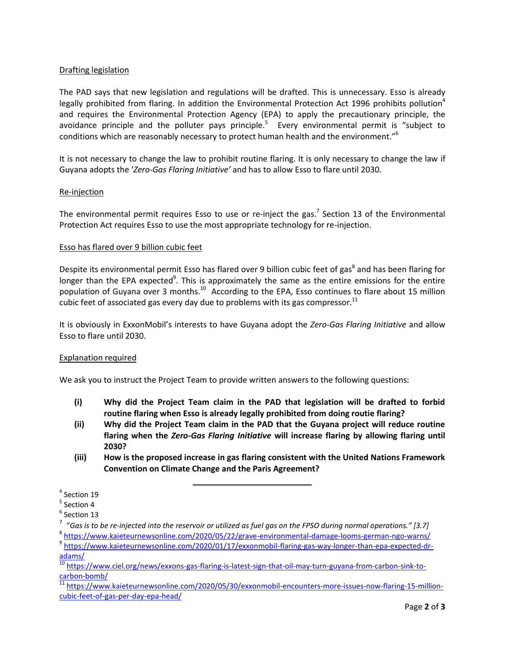## Drafting legislation

The PAD says that new legislation and regulations will be drafted. This is unnecessary. Esso is already legally prohibited from flaring. In addition the Environmental Protection Act 1996 prohibits pollution<sup>4</sup> and requires the Environmental Protection Agency (EPA) to apply the precautionary principle, the avoidance principle and the polluter pays principle.<sup>5</sup> Every environmental permit is "subject to conditions which are reasonably necessary to protect human health and the environment."<sup>6</sup>

It is not necessary to change the law to prohibit routine flaring. It is only necessary to change the law if Guyana adopts the '*Zero-Gas Flaring Initiative'* and has to allow Esso to flare until 2030.

## Re-injection

The environmental permit requires Esso to use or re-inject the gas.<sup>7</sup> Section 13 of the Environmental Protection Act requires Esso to use the most appropriate technology for re-injection.

#### Esso has flared over 9 billion cubic feet

Despite its environmental permit Esso has flared over 9 billion cubic feet of gas<sup>8</sup> and has been flaring for longer than the EPA expected<sup>9</sup>. This is approximately the same as the entire emissions for the entire population of Guyana over 3 months. $^{10}$  According to the EPA, Esso continues to flare about 15 million cubic feet of associated gas every day due to problems with its gas compressor.<sup>11</sup>

It is obviously in ExxonMobil's interests to have Guyana adopt the *Zero-Gas Flaring Initiative* and allow Esso to flare until 2030.

## Explanation required

We ask you to instruct the Project Team to provide written answers to the following questions:

- **(i) Why did the Project Team claim in the PAD that legislation will be drafted to forbid routine flaring when Esso is already legally prohibited from doing routie flaring?**
- **(ii) Why did the Project Team claim in the PAD that the Guyana project will reduce routine flaring when the** *Zero-Gas Flaring Initiative* **will increase flaring by allowing flaring until 2030?**
- **(iii) How is the proposed increase in gas flaring consistent with the United Nations Framework Convention on Climate Change and the Paris Agreement?**

l

<sup>4</sup> Section 19

 $<sup>5</sup>$  Section 4</sup>

 $^6$  Section 13

<sup>7</sup> "*Gas is to be re-injected into the reservoir or utilized as fuel gas on the FPSO during normal operations." [3.7]*

<sup>&</sup>lt;sup>8</sup> <https://www.kaieteurnewsonline.com/2020/05/22/grave-environmental-damage-looms-german-ngo-warns/>

<sup>&</sup>lt;sup>9</sup> [https://www.kaieteurnewsonline.com/2020/01/17/exxonmobil-flaring-gas-way-longer-than-epa-expected-dr](https://www.kaieteurnewsonline.com/2020/01/17/exxonmobil-flaring-gas-way-longer-than-epa-expected-dr-adams/)[adams/](https://www.kaieteurnewsonline.com/2020/01/17/exxonmobil-flaring-gas-way-longer-than-epa-expected-dr-adams/)

<sup>&</sup>lt;sup>10</sup> [https://www.ciel.org/news/exxons-gas-flaring-is-latest-sign-that-oil-may-turn-guyana-from-carbon-sink-to](https://www.ciel.org/news/exxons-gas-flaring-is-latest-sign-that-oil-may-turn-guyana-from-carbon-sink-to-carbon-bomb/)[carbon-bomb/](https://www.ciel.org/news/exxons-gas-flaring-is-latest-sign-that-oil-may-turn-guyana-from-carbon-sink-to-carbon-bomb/)

<sup>&</sup>lt;sup>11</sup> [https://www.kaieteurnewsonline.com/2020/05/30/exxonmobil-encounters-more-issues-now-flaring-15-million](https://www.kaieteurnewsonline.com/2020/05/30/exxonmobil-encounters-more-issues-now-flaring-15-million-cubic-feet-of-gas-per-day-epa-head/)[cubic-feet-of-gas-per-day-epa-head/](https://www.kaieteurnewsonline.com/2020/05/30/exxonmobil-encounters-more-issues-now-flaring-15-million-cubic-feet-of-gas-per-day-epa-head/)